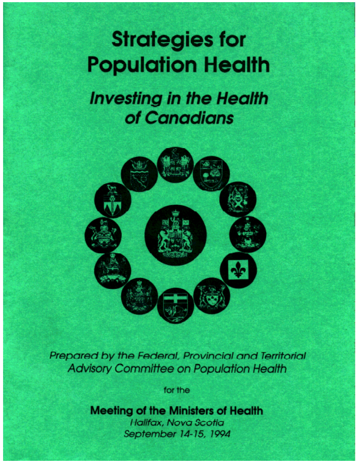# **Strategies for Population Health**

**Investing in the Health** of Canadians



Prepared by the Federal, Provincial and Territorial **Advisory Committee on Population Health** 

for the

# **Meeting of the Ministers of Health**

Halifax, Nova Scotia September 14-15, 1994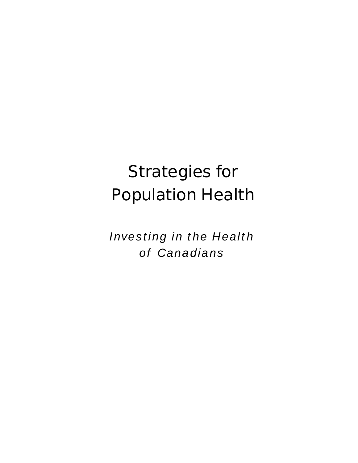# Strategies for Population Health

*Investing in the Health of Canadians*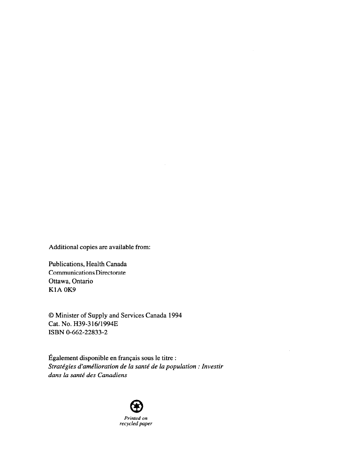Additional copies are available from:

Publications, Health Canada Communications Directorate Ottawa, Ontario KlA OK9

0 Minister of Supply and Services Canada 1994 Cat. No. H39-3 16/1994E ISBN O-662-22833-2

egalement disponible en frarqais sous le titre : *Stratigies d'ame'lioration de la Sante' de la population* : *Investir dans la Sante' des Canadiens* 

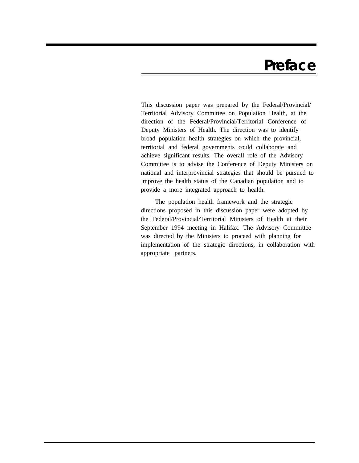# **Preface**

This discussion paper was prepared by the Federal/Provincial/ Territorial Advisory Committee on Population Health, at the direction of the Federal/Provincial/Territorial Conference of Deputy Ministers of Health. The direction was to identify broad population health strategies on which the provincial, territorial and federal governments could collaborate and achieve significant results. The overall role of the Advisory Committee is to advise the Conference of Deputy Ministers on national and interprovincial strategies that should be pursued to improve the health status of the Canadian population and to provide a more integrated approach to health.

The population health framework and the strategic directions proposed in this discussion paper were adopted by the Federal/Provincial/Territorial Ministers of Health at their September 1994 meeting in Halifax. The Advisory Committee was directed by the Ministers to proceed with planning for implementation of the strategic directions, in collaboration with appropriate partners.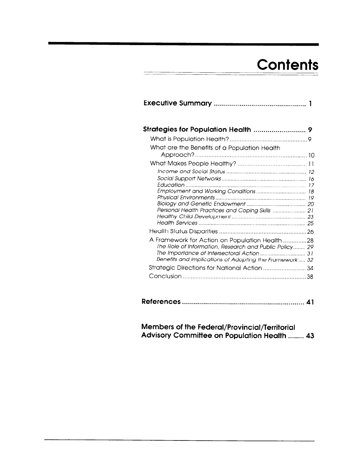# **Contents**

| What are the Benefits of a Population Health                                                                                                                        |    |
|---------------------------------------------------------------------------------------------------------------------------------------------------------------------|----|
|                                                                                                                                                                     |    |
| Personal Health Practices and Coping Skills  21                                                                                                                     |    |
|                                                                                                                                                                     |    |
|                                                                                                                                                                     |    |
| A Framework for Action on Population Health 28<br>The Role of Information, Research and Public Policy 29<br>Benefits and Implications of Adopting the Framework  32 |    |
| Strategic Directions for National Action 34                                                                                                                         |    |
|                                                                                                                                                                     | 38 |

**Executive Summary . . . . . . . . . . . ..\*................................ 1** 

**References . . . . . . . . . . . . . . . . . . . . . . . . . . . . . . . . . . . . . . . . . . . . . . . . . . . . . . . . . . . . . 4 1** 

**Members of the Federal/Provincial/Territorial**  Advisory Committee on Population Health ........ 43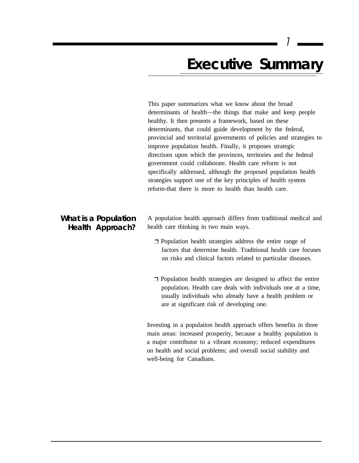# **Executive Summary**

 $\frac{1}{\sqrt{1-\frac{1}{2}}}$ 

This paper summarizes what we know about the broad determinants of health—the things that make and keep people healthy. It then presents a framework, based on these determinants, that could guide development by the federal, provincial and territorial governments of policies and strategies to improve population health. Finally, it proposes strategic directions upon which the provinces, territories and the federal government could collaborate. Health care reform is not specifically addressed, although the proposed population health strategies support one of the key principles of health system reform-that there is more to health than health care.

What is a Population A population health approach differs from traditional medical and Health Approach? health care thinking in two main ways.

- J Population health strategies address the entire range of factors that determine health. Traditional health care focuses on risks and clinical factors related to particular diseases.
- $\Box$  Population health strategies are designed to affect the entire population. Health care deals with individuals one at a time, usually individuals who already have a health problem or are at significant risk of developing one.

Investing in a population health approach offers benefits in three main areas: increased prosperity, because a healthy population is a major contributor to a vibrant economy; reduced expenditures on health and social problems; and overall social stability and well-being for Canadians.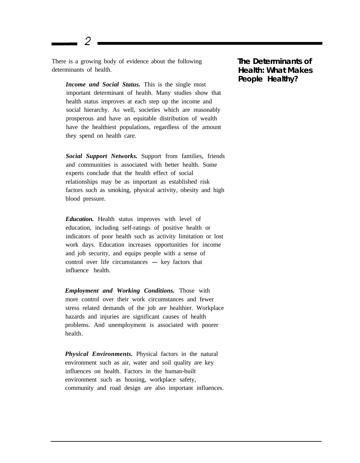# $\overline{\phantom{2}}$  2

There is a growing body of evidence about the following **The Determinants of** determinants of health. **Health: What Makes**

*Income and Social Status.* This is the single most **People Healthy?** important determinant of health. Many studies show that health status improves at each step up the income and social hierarchy. As well, societies which are reasonably prosperous and have an equitable distribution of wealth have the healthiest populations, regardless of the amount they spend on health care.

*Social Support Networks.* Support from families, friends and communities is associated with better health. Some experts conclude that the health effect of social relationships may be as important as established risk factors such as smoking, physical activity, obesity and high blood pressure.

*Education.* Health status improves with level of education, including self-ratings of positive health or indicators of poor health such as activity limitation or lost work days. Education increases opportunities for income and job security, and equips people with a sense of control over life circumstances — key factors that influence health.

*Employment and Working Conditions.* Those with more control over their work circumstances and fewer stress related demands of the job are healthier. Workplace hazards and injuries are significant causes of health problems. And unemployment is associated with poorer health.

*Physical Environments.* Physical factors in the natural environment such as air, water and soil quality are key influences on health. Factors in the human-built environment such as housing, workplace safety, community and road design are also important influences.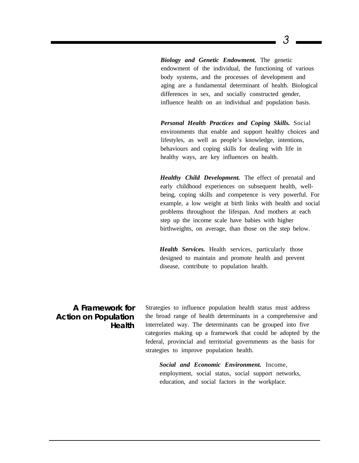*Biology and Genetic Endowment.* The genetic endowment of the individual, the functioning of various body systems, and the processes of development and aging are a fundamental determinant of health. Biological differences in sex, and socially constructed gender, influence health on an individual and population basis.

 $3 \overline{\phantom{0}}$ 

*Personal Health Practices and Coping Skills.* Social environments that enable and support healthy choices and lifestyles, as well as people's knowledge, intentions, behaviours and coping skills for dealing with life in healthy ways, are key influences on health.

*Healthy Child Development.* The effect of prenatal and early childhood experiences on subsequent health, wellbeing, coping skills and competence is very powerful. For example, a low weight at birth links with health and social problems throughout the lifespan. And mothers at each step up the income scale have babies with higher birthweights, on average, than those on the step below.

*Health Services.* Health services, particularly those designed to maintain and promote health and prevent disease, contribute to population health.

**A Framework for** Strategies to influence population health status must address **Action on Population** the broad range of health determinants in a comprehensive and **Health** interrelated way. The determinants can be grouped into five categories making up a framework that could be adopted by the federal, provincial and territorial governments as the basis for strategies to improve population health.

> *Social and Economic Environment.* Income, employment, social status, social support networks, education, and social factors in the workplace.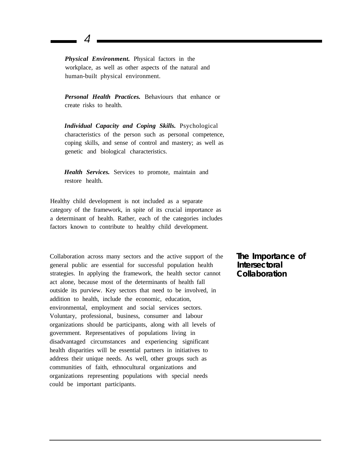*Physical Environment.* Physical factors in the workplace, as well as other aspects of the natural and human-built physical environment.

 $-4$ 

*Personal Health Practices.* Behaviours that enhance or create risks to health.

*Individual Capacity and Coping Skills.* Psychological characteristics of the person such as personal competence, coping skills, and sense of control and mastery; as well as genetic and biological characteristics.

*Health Services.* Services to promote, maintain and restore health.

Healthy child development is not included as a separate category of the framework, in spite of its crucial importance as a determinant of health. Rather, each of the categories includes factors known to contribute to healthy child development.

Collaboration across many sectors and the active support of the **The Importance of** general public are essential for successful population health **Intersectoral** strategies. In applying the framework, the health sector cannot **Collaboration** act alone, because most of the determinants of health fall outside its purview. Key sectors that need to be involved, in addition to health, include the economic, education, environmental, employment and social services sectors. Voluntary, professional, business, consumer and labour organizations should be participants, along with all levels of government. Representatives of populations living in disadvantaged circumstances and experiencing significant health disparities will be essential partners in initiatives to address their unique needs. As well, other groups such as communities of faith, ethnocultural organizations and organizations representing populations with special needs could be important participants.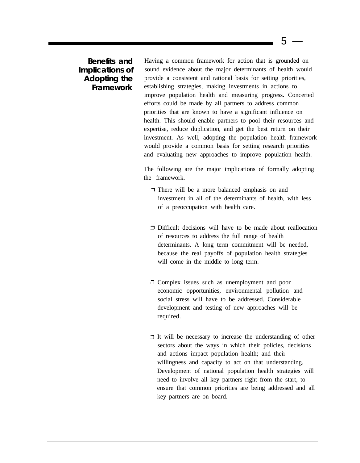**Benefits and** Having a common framework for action that is grounded on **Implications of** sound evidence about the major determinants of health would Adopting the provide a consistent and rational basis for setting priorities, **Framework** establishing strategies, making investments in actions to improve population health and measuring progress. Concerted efforts could be made by all partners to address common priorities that are known to have a significant influence on health. This should enable partners to pool their resources and expertise, reduce duplication, and get the best return on their investment. As well, adopting the population health framework would provide a common basis for setting research priorities and evaluating new approaches to improve population health.

 $5 -$ 

The following are the major implications of formally adopting the framework.

- 3 There will be a more balanced emphasis on and investment in all of the determinants of health, with less of a preoccupation with health care.
- 1 Difficult decisions will have to be made about reallocation of resources to address the full range of health determinants. A long term commitment will be needed, because the real payoffs of population health strategies will come in the middle to long term.
- J Complex issues such as unemployment and poor economic opportunities, environmental pollution and social stress will have to be addressed. Considerable development and testing of new approaches will be required.
- 3 It will be necessary to increase the understanding of other sectors about the ways in which their policies, decisions and actions impact population health; and their willingness and capacity to act on that understanding. Development of national population health strategies will need to involve all key partners right from the start, to ensure that common priorities are being addressed and all key partners are on board.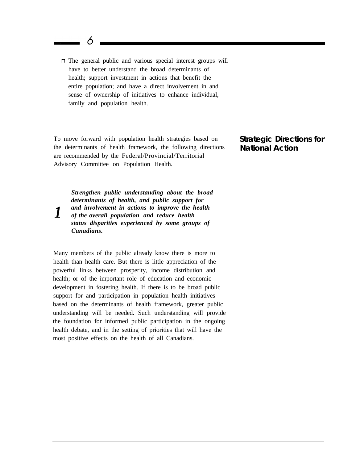$\overline{\phantom{0}}$  6

 $\Box$  The general public and various special interest groups will have to better understand the broad determinants of health; support investment in actions that benefit the entire population; and have a direct involvement in and sense of ownership of initiatives to enhance individual, family and population health.

To move forward with population health strategies based on **Strategic Directions for** the determinants of health framework, the following directions **National Action** are recommended by the Federal/Provincial/Territorial Advisory Committee on Population Health.

*Strengthen public understanding about the broad determinants of health, and public support for* **1** *and involvement in actions to improve the health***<br>
<b>1** *of the overall population and reduce health of the overall population and reduce health status disparities experienced by some groups of Canadians.*

Many members of the public already know there is more to health than health care. But there is little appreciation of the powerful links between prosperity, income distribution and health; or of the important role of education and economic development in fostering health. If there is to be broad public support for and participation in population health initiatives based on the determinants of health framework, greater public understanding will be needed. Such understanding will provide the foundation for informed public participation in the ongoing health debate, and in the setting of priorities that will have the most positive effects on the health of all Canadians.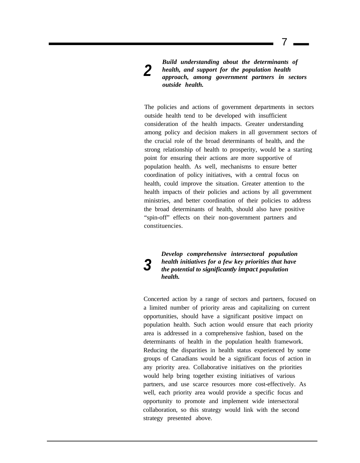# $7 -$ **2** *Build understanding about the determinants of health, and support for the population health health, and support for the population health approach, among government partners in sectors outside health.*

The policies and actions of government departments in sectors outside health tend to be developed with insufficient consideration of the health impacts. Greater understanding among policy and decision makers in all government sectors of the crucial role of the broad determinants of health, and the strong relationship of health to prosperity, would be a starting point for ensuring their actions are more supportive of population health. As well, mechanisms to ensure better coordination of policy initiatives, with a central focus on health, could improve the situation. Greater attention to the health impacts of their policies and actions by all government ministries, and better coordination of their policies to address the broad determinants of health, should also have positive "spin-off" effects on their non-government partners and constituencies.

# *Develop comprehensive intersectoral populution 3 health initiatives for a few key priorities that have the potential to significantly impact population health.*

Concerted action by a range of sectors and partners, focused on a limited number of priority areas and capitalizing on current opportunities, should have a significant positive impact on population health. Such action would ensure that each priority area is addressed in a comprehensive fashion, based on the determinants of health in the population health framework. Reducing the disparities in health status experienced by some groups of Canadians would be a significant focus of action in any priority area. Collaborative initiatives on the priorities would help bring together existing initiatives of various partners, and use scarce resources more cost-effectively. As well, each priority area would provide a specific focus and opportunity to promote and implement wide intersectoral collaboration, so this strategy would link with the second strategy presented above.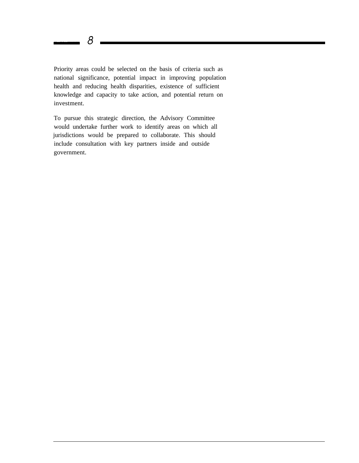

Priority areas could be selected on the basis of criteria such as national significance, potential impact in improving population health and reducing health disparities, existence of sufficient knowledge and capacity to take action, and potential return on investment.

To pursue this strategic direction, the Advisory Committee would undertake further work to identify areas on which all jurisdictions would be prepared to collaborate. This should include consultation with key partners inside and outside government.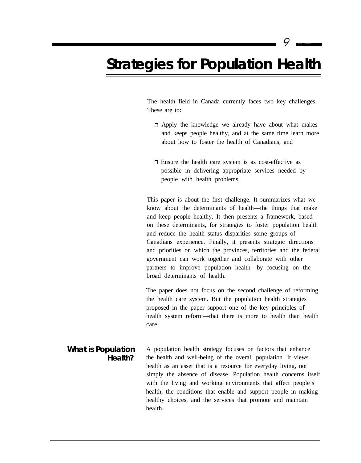# **Strategies for Population Health**

The health field in Canada currently faces two key challenges. These are to:

 $\frac{9}{2}$ 

- 1 Apply the knowledge we already have about what makes and keeps people healthy, and at the same time learn more about how to foster the health of Canadians; and
- 7 Ensure the health care system is as cost-effective as possible in delivering appropriate services needed by people with health problems.

This paper is about the first challenge. It summarizes what we know about the determinants of health—the things that make and keep people healthy. It then presents a framework, based on these determinants, for strategies to foster population health and reduce the health status disparities some groups of Canadians experience. Finally, it presents strategic directions and priorities on which the provinces, territories and the federal government can work together and collaborate with other partners to improve population health—by focusing on the broad determinants of health.

The paper does not focus on the second challenge of reforming the health care system. But the population health strategies proposed in the paper support one of the key principles of health system reform—that there is more to health than health care.

**What is Population** A population health strategy focuses on factors that enhance Health? the health and well-being of the overall population. It views health as an asset that is a resource for everyday living, not simply the absence of disease. Population health concerns itself with the living and working environments that affect people's health, the conditions that enable and support people in making healthy choices, and the services that promote and maintain health.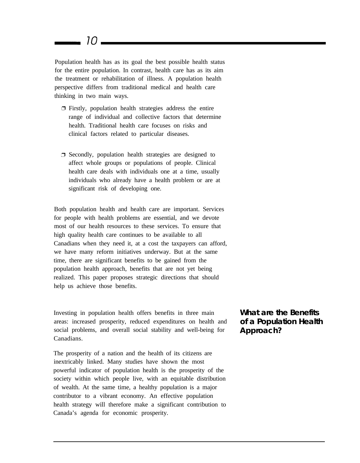# $\overline{\phantom{0}}$  70

Population health has as its goal the best possible health status for the entire population. In contrast, health care has as its aim the treatment or rehabilitation of illness. A population health perspective differs from traditional medical and health care thinking in two main ways.

- $\Box$  Firstly, population health strategies address the entire range of individual and collective factors that determine health. Traditional health care focuses on risks and clinical factors related to particular diseases.
- Secondly, population health strategies are designed to affect whole groups or populations of people. Clinical health care deals with individuals one at a time, usually individuals who already have a health problem or are at significant risk of developing one.

Both population health and health care are important. Services for people with health problems are essential, and we devote most of our health resources to these services. To ensure that high quality health care continues to be available to all Canadians when they need it, at a cost the taxpayers can afford, we have many reform initiatives underway. But at the same time, there are significant benefits to be gained from the population health approach, benefits that are not yet being realized. This paper proposes strategic directions that should help us achieve those benefits.

Investing in population health offers benefits in three main **What are the Benefits** areas: increased prosperity, reduced expenditures on health and **of a Population Health** social problems, and overall social stability and well-being for **Approach?** Canadians.

The prosperity of a nation and the health of its citizens are inextricably linked. Many studies have shown the most powerful indicator of population health is the prosperity of the society within which people live, with an equitable distribution of wealth. At the same time, a healthy population is a major contributor to a vibrant economy. An effective population health strategy will therefore make a significant contribution to Canada's agenda for economic prosperity.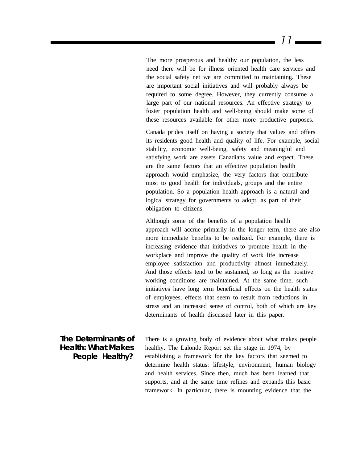$\frac{77}{1}$ 

The more prosperous and healthy our population, the less need there will be for illness oriented health care services and the social safety net we are committed to maintaining. These are important social initiatives and will probably always be required to some degree. However, they currently consume a large part of our national resources. An effective strategy to foster population health and well-being should make some of these resources available for other more productive purposes.

Canada prides itself on having a society that values and offers its residents good health and quality of life. For example, social stability, economic well-being, safety and meaningful and satisfying work are assets Canadians value and expect. These are the same factors that an effective population health approach would emphasize, the very factors that contribute most to good health for individuals, groups and the entire population. So a population health approach is a natural and logical strategy for governments to adopt, as part of their obligation to citizens.

Although some of the benefits of a population health approach will accrue primarily in the longer term, there are also more immediate benefits to be realized. For example, there is increasing evidence that initiatives to promote health in the workplace and improve the quality of work life increase employee satisfaction and productivity almost immediately. And those effects tend to be sustained, so long as the positive working conditions are maintained. At the same time, such initiatives have long term beneficial effects on the health status of employees, effects that seem to result from reductions in stress and an increased sense of control, both of which are key determinants of health discussed later in this paper.

# **The Determinants of Health: What Makes People Healthy?**

There is a growing body of evidence about what makes people healthy. The Lalonde Report set the stage in 1974, by establishing a framework for the key factors that seemed to determine health status: lifestyle, environment, human biology and health services. Since then, much has been learned that supports, and at the same time refines and expands this basic framework. In particular, there is mounting evidence that the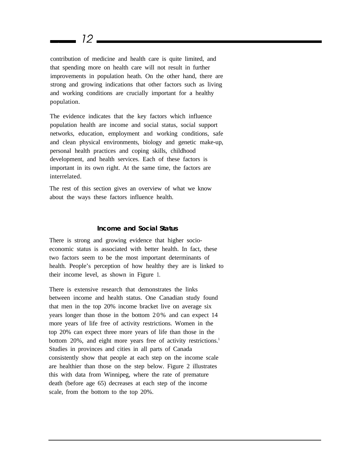

contribution of medicine and health care is quite limited, and that spending more on health care will not result in further improvements in population heath. On the other hand, there are strong and growing indications that other factors such as living and working conditions are crucially important for a healthy population.

The evidence indicates that the key factors which influence population health are income and social status, social support networks, education, employment and working conditions, safe and clean physical environments, biology and genetic make-up, personal health practices and coping skills, childhood development, and health services. Each of these factors is important in its own right. At the same time, the factors are interrelated.

The rest of this section gives an overview of what we know about the ways these factors influence health.

# *Income and Social Status*

There is strong and growing evidence that higher socioeconomic status is associated with better health. In fact, these two factors seem to be the most important determinants of health. People's perception of how healthy they are is linked to their income level, as shown in Figure 1.

There is extensive research that demonstrates the links between income and health status. One Canadian study found that men in the top 20% income bracket live on average six years longer than those in the bottom 20% and can expect 14 more years of life free of activity restrictions. Women in the top 20% can expect three more years of life than those in the bottom 20%, and eight more years free of activity restrictions.<sup>1</sup> Studies in provinces and cities in all parts of Canada consistently show that people at each step on the income scale are healthier than those on the step below. Figure 2 illustrates this with data from Winnipeg, where the rate of premature death (before age 65) decreases at each step of the income scale, from the bottom to the top 20%.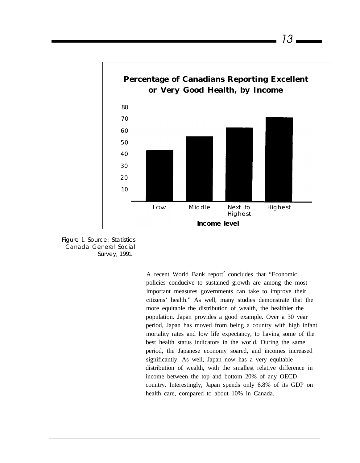

Figure 1. Source: Statistics Canada General Social Survey, 1991.

> A recent World Bank report<sup>2</sup> concludes that "Economic policies conducive to sustained growth are among the most important measures governments can take to improve their citizens' health." As well, many studies demonstrate that the more equitable the distribution of wealth, the healthier the population. Japan provides a good example. Over a 30 year period, Japan has moved from being a country with high infant mortality rates and low life expectancy, to having some of the best health status indicators in the world. During the same period, the Japanese economy soared, and incomes increased significantly. As well, Japan now has a very equitable distribution of wealth, with the smallest relative difference in income between the top and bottom 20% of any OECD country. Interestingly, Japan spends only 6.8% of its GDP on health care, compared to about 10% in Canada.

 $13 \longrightarrow$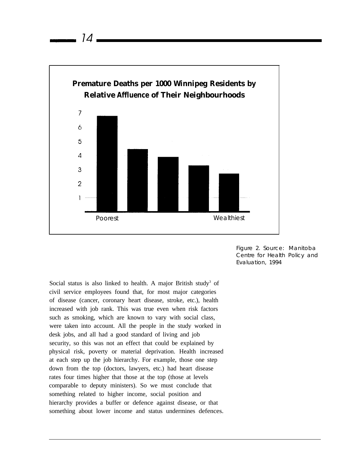



Social status is also linked to health. A major British study<sup>3</sup> of civil service employees found that, for most major categories of disease (cancer, coronary heart disease, stroke, etc.), health increased with job rank. This was true even when risk factors such as smoking, which are known to vary with social class, were taken into account. All the people in the study worked in desk jobs, and all had a good standard of living and job security, so this was not an effect that could be explained by physical risk, poverty or material deprivation. Health increased at each step up the job hierarchy. For example, those one step down from the top (doctors, lawyers, etc.) had heart disease rates four times higher that those at the top (those at levels comparable to deputy ministers). So we must conclude that something related to higher income, social position and hierarchy provides a buffer or defence against disease, or that something about lower income and status undermines defences.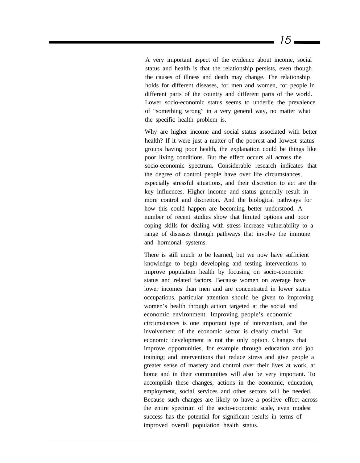$75$ 

A very important aspect of the evidence about income, social status and health is that the relationship persists, even though the causes of illness and death may change. The relationship holds for different diseases, for men and women, for people in different parts of the country and different parts of the world. Lower socio-economic status seems to underlie the prevalence of "something wrong" in a very general way, no matter what the specific health problem is.

Why are higher income and social status associated with better health? If it were just a matter of the poorest and lowest status groups having poor health, the explanation could be things like poor living conditions. But the effect occurs all across the socio-economic spectrum. Considerable research indicates that the degree of control people have over life circumstances, especially stressful situations, and their discretion to act are the key influences. Higher income and status generally result in more control and discretion. And the biological pathways for how this could happen are becoming better understood. A number of recent studies show that limited options and poor coping skills for dealing with stress increase vulnerability to a range of diseases through pathways that involve the immune and hormonal systems.

There is still much to be learned, but we now have sufficient knowledge to begin developing and testing interventions to improve population health by focusing on socio-economic status and related factors. Because women on average have lower incomes than men and are concentrated in lower status occupations, particular attention should be given to improving women's health through action targeted at the social and economic environment. Improving people's economic circumstances is one important type of intervention, and the involvement of the economic sector is clearly crucial. But economic development is not the only option. Changes that improve opportunities, for example through education and job training; and interventions that reduce stress and give people a greater sense of mastery and control over their lives at work, at home and in their communities will also be very important. To accomplish these changes, actions in the economic, education, employment, social services and other sectors will be needed. Because such changes are likely to have a positive effect across the entire spectrum of the socio-economic scale, even modest success has the potential for significant results in terms of improved overall population health status.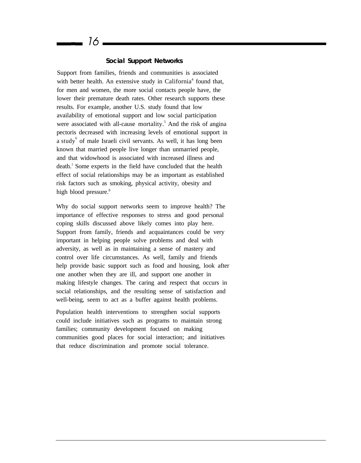

# *Social Support Networks*

Support from families, friends and communities is associated with better health. An extensive study in California<sup>4</sup> found that, for men and women, the more social contacts people have, the lower their premature death rates. Other research supports these results. For example, another U.S. study found that low availability of emotional support and low social participation were associated with all-cause mortality.<sup>5</sup> And the risk of angina pectoris decreased with increasing levels of emotional support in a study $6$  of male Israeli civil servants. As well, it has long been known that married people live longer than unmarried people, and that widowhood is associated with increased illness and death.7 Some experts in the field have concluded that the health effect of social relationships may be as important as established risk factors such as smoking, physical activity, obesity and high blood pressure.<sup>8</sup>

Why do social support networks seem to improve health? The importance of effective responses to stress and good personal coping skills discussed above likely comes into play here. Support from family, friends and acquaintances could be very important in helping people solve problems and deal with adversity, as well as in maintaining a sense of mastery and control over life circumstances. As well, family and friends help provide basic support such as food and housing, look after one another when they are ill, and support one another in making lifestyle changes. The caring and respect that occurs in social relationships, and the resulting sense of satisfaction and well-being, seem to act as a buffer against health problems.

Population health interventions to strengthen social supports could include initiatives such as programs to maintain strong families; community development focused on making communities good places for social interaction; and initiatives that reduce discrimination and promote social tolerance.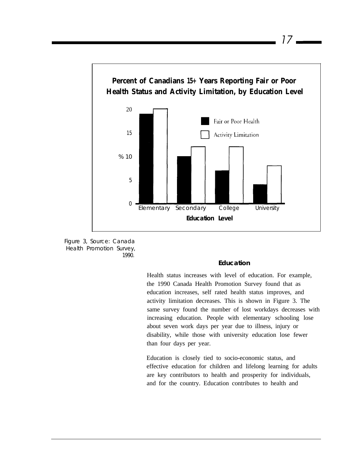

Figure 3, Source: Canada Health Promotion Survey, 1990.

# *Education*

 $17 -$ 

Health status increases with level of education. For example, the 1990 Canada Health Promotion Survey found that as education increases, self rated health status improves, and activity limitation decreases. This is shown in Figure 3. The same survey found the number of lost workdays decreases with increasing education. People with elementary schooling lose about seven work days per year due to illness, injury or disability, while those with university education lose fewer than four days per year.

Education is closely tied to socio-economic status, and effective education for children and lifelong learning for adults are key contributors to health and prosperity for individuals, and for the country. Education contributes to health and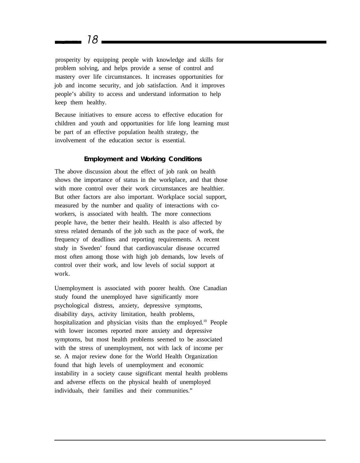

prosperity by equipping people with knowledge and skills for problem solving, and helps provide a sense of control and mastery over life circumstances. It increases opportunities for job and income security, and job satisfaction. And it improves people's ability to access and understand information to help keep them healthy.

Because initiatives to ensure access to effective education for children and youth and opportunities for life long learning must be part of an effective population health strategy, the involvement of the education sector is essential.

## *Employment and Working Conditions*

The above discussion about the effect of job rank on health shows the importance of status in the workplace, and that those with more control over their work circumstances are healthier. But other factors are also important. Workplace social support, measured by the number and quality of interactions with coworkers, is associated with health. The more connections people have, the better their health. Health is also affected by stress related demands of the job such as the pace of work, the frequency of deadlines and reporting requirements. A recent study in Sweden' found that cardiovascular disease occurred most often among those with high job demands, low levels of control over their work, and low levels of social support at work.

Unemployment is associated with poorer health. One Canadian study found the unemployed have significantly more psychological distress, anxiety, depressive symptoms, disability days, activity limitation, health problems, hospitalization and physician visits than the employed.<sup>10</sup> People with lower incomes reported more anxiety and depressive symptoms, but most health problems seemed to be associated with the stress of unemployment, not with lack of income per se. A major review done for the World Health Organization found that high levels of unemployment and economic instability in a society cause significant mental health problems and adverse effects on the physical health of unemployed individuals, their families and their communities."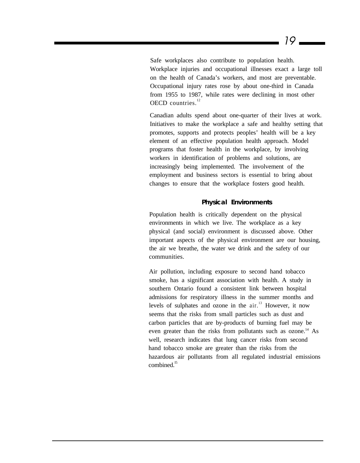Safe workplaces also contribute to population health. Workplace injuries and occupational illnesses exact a large toll on the health of Canada's workers, and most are preventable. Occupational injury rates rose by about one-third in Canada from 1955 to 1987, while rates were declining in most other OECD countries.<sup>12</sup>

79-

Canadian adults spend about one-quarter of their lives at work. Initiatives to make the workplace a safe and healthy setting that promotes, supports and protects peoples' health will be a key element of an effective population health approach. Model programs that foster health in the workplace, by involving workers in identification of problems and solutions, are increasingly being implemented. The involvement of the employment and business sectors is essential to bring about changes to ensure that the workplace fosters good health.

### *Physical Environments*

Population health is critically dependent on the physical environments in which we live. The workplace as a key physical (and social) environment is discussed above. Other important aspects of the physical environment are our housing, the air we breathe, the water we drink and the safety of our communities.

Air pollution, including exposure to second hand tobacco smoke, has a significant association with health. A study in southern Ontario found a consistent link between hospital admissions for respiratory illness in the summer months and levels of sulphates and ozone in the  $air$ <sup>13</sup>. However, it now seems that the risks from small particles such as dust and carbon particles that are by-products of burning fuel may be even greater than the risks from pollutants such as ozone.<sup>14</sup> As well, research indicates that lung cancer risks from second hand tobacco smoke are greater than the risks from the hazardous air pollutants from all regulated industrial emissions combined.<sup>15</sup>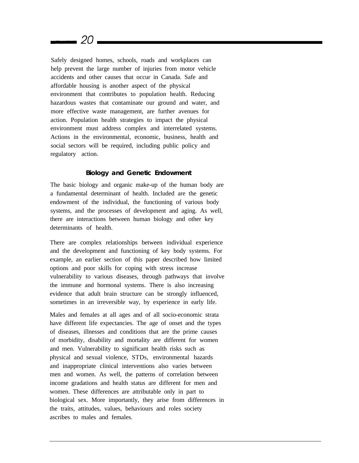Safely designed homes, schools, roads and workplaces can help prevent the large number of injuries from motor vehicle accidents and other causes that occur in Canada. Safe and affordable housing is another aspect of the physical environment that contributes to population health. Reducing hazardous wastes that contaminate our ground and water, and more effective waste management, are further avenues for action. Population health strategies to impact the physical environment must address complex and interrelated systems. Actions in the environmental, economic, business, health and social sectors will be required, including public policy and regulatory action.

### *Biology and Genetic Endowment*

The basic biology and organic make-up of the human body are a fundamental determinant of health. Included are the genetic endowment of the individual, the functioning of various body systems, and the processes of development and aging. As well, there are interactions between human biology and other key determinants of health.

There are complex relationships between individual experience and the development and functioning of key body systems. For example, an earlier section of this paper described how limited options and poor skills for coping with stress increase vulnerability to various diseases, through pathways that involve the immune and hormonal systems. There is also increasing evidence that adult brain structure can be strongly influenced, sometimes in an irreversible way, by experience in early life.

Males and females at all ages and of all socio-economic strata have different life expectancies. The age of onset and the types of diseases, illnesses and conditions that are the prime causes of morbidity, disability and mortality are different for women and men. Vulnerability to significant health risks such as physical and sexual violence, STDs, environmental hazards and inappropriate clinical interventions also varies between men and women. As well, the patterns of correlation between income gradations and health status are different for men and women. These differences are attributable only in part to biological sex. More importantly, they arise from differences in the traits, attitudes, values, behaviours and roles society ascribes to males and females.

-20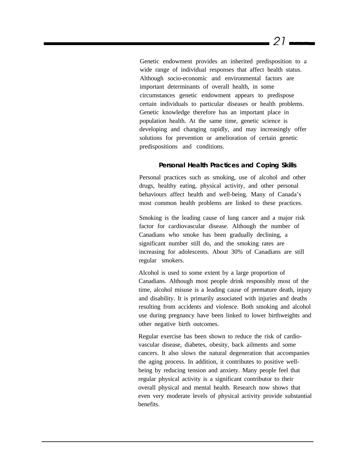Genetic endowment provides an inherited predisposition to a wide range of individual responses that affect health status. Although socio-economic and environmental factors are important determinants of overall health, in some circumstances genetic endowment appears to predispose certain individuals to particular diseases or health problems. Genetic knowledge therefore has an important place in population health. At the same time, genetic science is developing and changing rapidly, and may increasingly offer solutions for prevention or amelioration of certain genetic predispositions and conditions.

### *Personal Health Practices and Coping Skills*

Personal practices such as smoking, use of alcohol and other drugs, healthy eating, physical activity, and other personal behaviours affect health and well-being. Many of Canada's most common health problems are linked to these practices.

Smoking is the leading cause of lung cancer and a major risk factor for cardiovascular disease. Although the number of Canadians who smoke has been gradually declining, a significant number still do, and the smoking rates are increasing for adolescents. About 30% of Canadians are still regular smokers.

Alcohol is used to some extent by a large proportion of Canadians. Although most people drink responsibly most of the time, alcohol misuse is a leading cause of premature death, injury and disability. It is primarily associated with injuries and deaths resulting from accidents and violence. Both smoking and alcohol use during pregnancy have been linked to lower birthweights and other negative birth outcomes.

Regular exercise has been shown to reduce the risk of cardiovascular disease, diabetes, obesity, back ailments and some cancers. It also slows the natural degeneration that accompanies the aging process. In addition, it contributes to positive wellbeing by reducing tension and anxiety. Many people feel that regular physical activity is a significant contributor to their overall physical and mental health. Research now shows that even very moderate levels of physical activity provide substantial benefits.

 $27$  -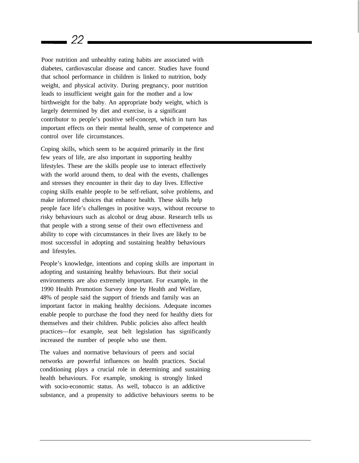$\frac{22}{2}$ 

Poor nutrition and unhealthy eating habits are associated with diabetes, cardiovascular disease and cancer. Studies have found that school performance in children is linked to nutrition, body weight, and physical activity. During pregnancy, poor nutrition leads to insufficient weight gain for the mother and a low birthweight for the baby. An appropriate body weight, which is largely determined by diet and exercise, is a significant contributor to people's positive self-concept, which in turn has important effects on their mental health, sense of competence and control over life circumstances.

Coping skills, which seem to be acquired primarily in the first few years of life, are also important in supporting healthy lifestyles. These are the skills people use to interact effectively with the world around them, to deal with the events, challenges and stresses they encounter in their day to day lives. Effective coping skills enable people to be self-reliant, solve problems, and make informed choices that enhance health. These skills help people face life's challenges in positive ways, without recourse to risky behaviours such as alcohol or drug abuse. Research tells us that people with a strong sense of their own effectiveness and ability to cope with circumstances in their lives are likely to be most successful in adopting and sustaining healthy behaviours and lifestyles.

People's knowledge, intentions and coping skills are important in adopting and sustaining healthy behaviours. But their social environments are also extremely important. For example, in the 1990 Health Promotion Survey done by Health and Welfare, 48% of people said the support of friends and family was an important factor in making healthy decisions. Adequate incomes enable people to purchase the food they need for healthy diets for themselves and their children. Public policies also affect health practices—for example, seat belt legislation has significantly increased the number of people who use them.

The values and normative behaviours of peers and social networks are powerful influences on health practices. Social conditioning plays a crucial role in determining and sustaining health behaviours. For example, smoking is strongly linked with socio-economic status. As well, tobacco is an addictive substance, and a propensity to addictive behaviours seems to be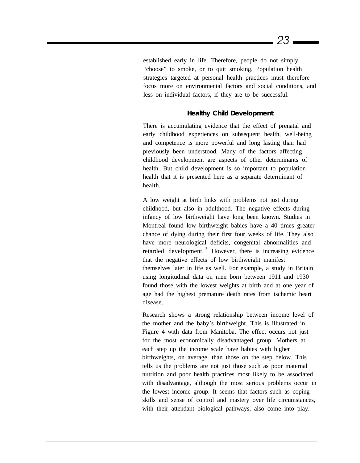$23$ established early in life. Therefore, people do not simply "choose" to smoke, or to quit smoking. Population health strategies targeted at personal health practices must therefore focus more on environmental factors and social conditions, and less on individual factors, if they are to be successful.

## *Healthy Child Development*

There is accumulating evidence that the effect of prenatal and early childhood experiences on subsequent health, well-being and competence is more powerful and long lasting than had previously been understood. Many of the factors affecting childhood development are aspects of other determinants of health. But child development is so important to population health that it is presented here as a separate determinant of health.

A low weight at birth links with problems not just during childhood, but also in adulthood. The negative effects during infancy of low birthweight have long been known. Studies in Montreal found low birthweight babies have a 40 times greater chance of dying during their first four weeks of life. They also have more neurological deficits, congenital abnormalities and retarded development.<sup>16</sup> However, there is increasing evidence that the negative effects of low birthweight manifest themselves later in life as well. For example, a study in Britain using longitudinal data on men born between 1911 and 1930 found those with the lowest weights at birth and at one year of age had the highest premature death rates from ischemic heart disease.

Research shows a strong relationship between income level of the mother and the baby's birthweight. This is illustrated in Figure 4 with data from Manitoba. The effect occurs not just for the most economically disadvantaged group. Mothers at each step up the income scale have babies with higher birthweights, on average, than those on the step below. This tells us the problems are not just those such as poor maternal nutrition and poor health practices most likely to be associated with disadvantage, although the most serious problems occur in the lowest income group. It seems that factors such as coping skills and sense of control and mastery over life circumstances, with their attendant biological pathways, also come into play.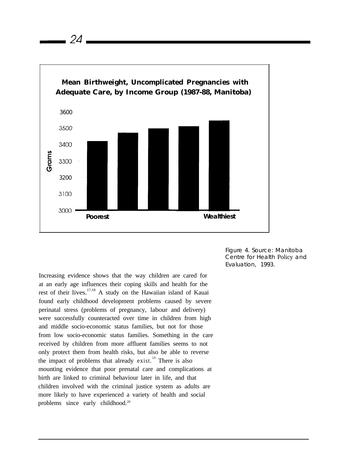

Figure 4. Source: Manitoba Centre for Health Policy and Evaluation, 1993.

Increasing evidence shows that the way children are cared for at an early age influences their coping skills and health for the rest of their lives.17,18 A study on the Hawaiian island of Kauai found early childhood development problems caused by severe perinatal stress (problems of pregnancy, labour and delivery) were successfully counteracted over time in children from high and middle socio-economic status families, but not for those from low socio-economic status families. Something in the care received by children from more affluent families seems to not only protect them from health risks, but also be able to reverse the impact of problems that already exist.<sup>19</sup> There is also mounting evidence that poor prenatal care and complications at birth are linked to criminal behaviour later in life, and that children involved with the criminal justice system as adults are more likely to have experienced a variety of health and social problems since early childhood.20

-24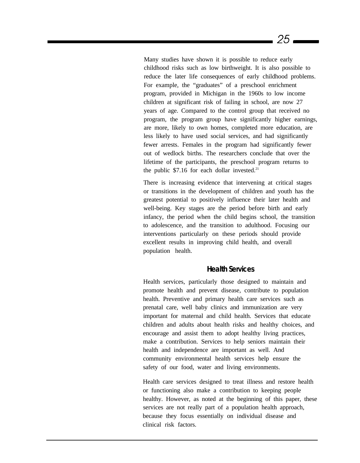$25$   $\overline{\phantom{1}}$ Many studies have shown it is possible to reduce early childhood risks such as low birthweight. It is also possible to reduce the later life consequences of early childhood problems. For example, the "graduates" of a preschool enrichment program, provided in Michigan in the 1960s to low income children at significant risk of failing in school, are now 27 years of age. Compared to the control group that received no program, the program group have significantly higher earnings, are more, likely to own homes, completed more education, are less likely to have used social services, and had significantly fewer arrests. Females in the program had significantly fewer out of wedlock births. The researchers conclude that over the lifetime of the participants, the preschool program returns to the public  $$7.16$  for each dollar invested.<sup>21</sup>

There is increasing evidence that intervening at critical stages or transitions in the development of children and youth has the greatest potential to positively influence their later health and well-being. Key stages are the period before birth and early infancy, the period when the child begins school, the transition to adolescence, and the transition to adulthood. Focusing our interventions particularly on these periods should provide excellent results in improving child health, and overall population health.

# *Health Services*

Health services, particularly those designed to maintain and promote health and prevent disease, contribute to population health. Preventive and primary health care services such as prenatal care, well baby clinics and immunization are very important for maternal and child health. Services that educate children and adults about health risks and healthy choices, and encourage and assist them to adopt healthy living practices, make a contribution. Services to help seniors maintain their health and independence are important as well. And community environmental health services help ensure the safety of our food, water and living environments.

Health care services designed to treat illness and restore health or functioning also make a contribution to keeping people healthy. However, as noted at the beginning of this paper, these services are not really part of a population health approach, because they focus essentially on individual disease and clinical risk factors.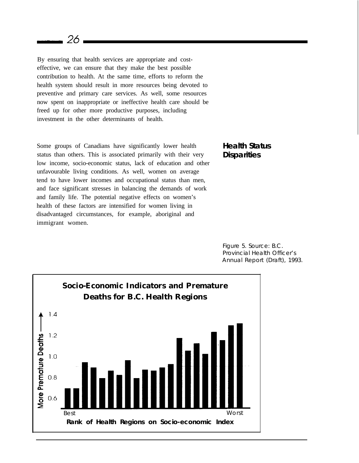# $\frac{26}{2}$

By ensuring that health services are appropriate and costeffective, we can ensure that they make the best possible contribution to health. At the same time, efforts to reform the health system should result in more resources being devoted to preventive and primary care services. As well, some resources now spent on inappropriate or ineffective health care should be freed up for other more productive purposes, including investment in the other determinants of health.

Some groups of Canadians have significantly lower health **Health Status** status than others. This is associated primarily with their very **Disparities** low income, socio-economic status, lack of education and other unfavourable living conditions. As well, women on average tend to have lower incomes and occupational status than men, and face significant stresses in balancing the demands of work and family life. The potential negative effects on women's health of these factors are intensified for women living in disadvantaged circumstances, for example, aboriginal and immigrant women.

Figure 5. Source: B.C. Provincial Health Officer's Annual Report (Draft), 1993.

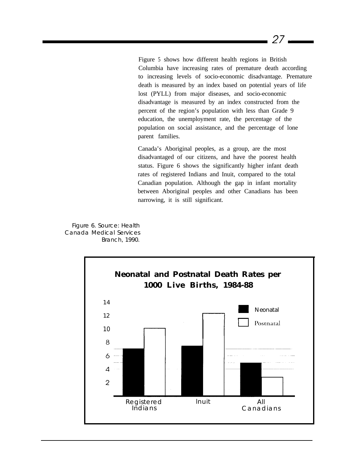Figure 5 shows how different health regions in British Columbia have increasing rates of premature death according to increasing levels of socio-economic disadvantage. Premature death is measured by an index based on potential years of life lost (PYLL) from major diseases, and socio-economic disadvantage is measured by an index constructed from the percent of the region's population with less than Grade 9 education, the unemployment rate, the percentage of the population on social assistance, and the percentage of lone parent families.

Canada's Aboriginal peoples, as a group, are the most disadvantaged of our citizens, and have the poorest health status. Figure 6 shows the significantly higher infant death rates of registered Indians and Inuit, compared to the total Canadian population. Although the gap in infant mortality between Aboriginal peoples and other Canadians has been narrowing, it is still significant.

Figure 6. Source: Health Canada Medical Services Branch, 1990.

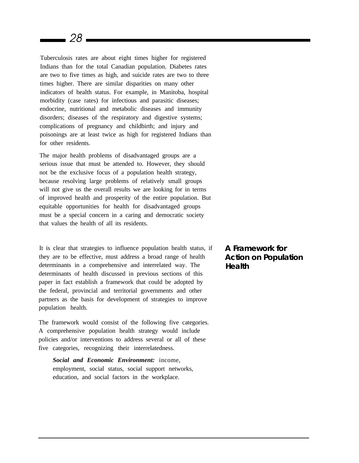Tuberculosis rates are about eight times higher for registered Indians than for the total Canadian population. Diabetes rates are two to five times as high, and suicide rates are two to three times higher. There are similar disparities on many other indicators of health status. For example, in Manitoba, hospital morbidity (case rates) for infectious and parasitic diseases; endocrine, nutritional and metabolic diseases and immunity disorders; diseases of the respiratory and digestive systems; complications of pregnancy and childbirth; and injury and poisonings are at least twice as high for registered Indians than for other residents.

The major health problems of disadvantaged groups are a serious issue that must be attended to. However, they should not be the exclusive focus of a population health strategy, because resolving large problems of relatively small groups will not give us the overall results we are looking for in terms of improved health and prosperity of the entire population. But equitable opportunities for health for disadvantaged groups must be a special concern in a caring and democratic society that values the health of all its residents.

It is clear that strategies to influence population health status, if **A Framework for** they are to be effective, must address a broad range of health **Action on Population** determinants in a comprehensive and interrelated way. The **Health** determinants of health discussed in previous sections of this paper in fact establish a framework that could be adopted by the federal, provincial and territorial governments and other partners as the basis for development of strategies to improve population health.

The framework would consist of the following five categories. A comprehensive population health strategy would include policies and/or interventions to address several or all of these five categories, recognizing their interrelatedness.

*Social and Economic Environment:* income, employment, social status, social support networks, education, and social factors in the workplace.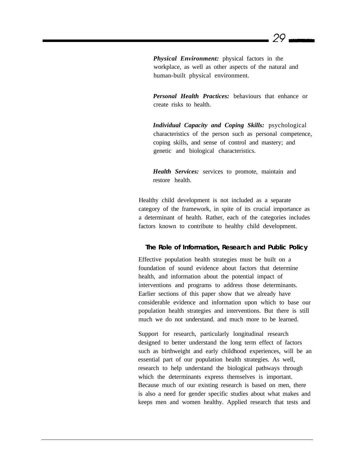*Physical Environment:* physical factors in the workplace, as well as other aspects of the natural and human-built physical environment.

*Personal Health Practices:* behaviours that enhance or create risks to health.

*Individual Capacity and Coping Skills:* psychological characteristics of the person such as personal competence, coping skills, and sense of control and mastery; and genetic and biological characteristics.

*Health Services:* services to promote, maintain and restore health.

Healthy child development is not included as a separate category of the framework, in spite of its crucial importance as a determinant of health. Rather, each of the categories includes factors known to contribute to healthy child development.

# *The Role of Information, Research and Public Policy*

Effective population health strategies must be built on a foundation of sound evidence about factors that determine health, and information about the potential impact of interventions and programs to address those determinants. Earlier sections of this paper show that we already have considerable evidence and information upon which to base our population health strategies and interventions. But there is still much we do not understand. and much more to be learned.

Support for research, particularly longitudinal research designed to better understand the long term effect of factors such as birthweight and early childhood experiences, will be an essential part of our population health strategies. As well, research to help understand the biological pathways through which the determinants express themselves is important. Because much of our existing research is based on men, there is also a need for gender specific studies about what makes and keeps men and women healthy. Applied research that tests and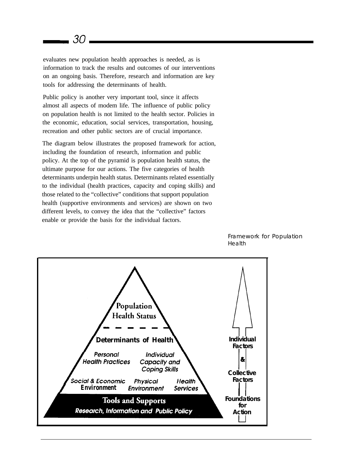# -30

evaluates new population health approaches is needed, as is information to track the results and outcomes of our interventions on an ongoing basis. Therefore, research and information are key tools for addressing the determinants of health.

Public policy is another very important tool, since it affects almost all aspects of modem life. The influence of public policy on population health is not limited to the health sector. Policies in the economic, education, social services, transportation, housing, recreation and other public sectors are of crucial importance.

The diagram below illustrates the proposed framework for action, including the foundation of research, information and public policy. At the top of the pyramid is population health status, the ultimate purpose for our actions. The five categories of health determinants underpin health status. Determinants related essentially to the individual (health practices, capacity and coping skills) and those related to the "collective" conditions that support population health (supportive environments and services) are shown on two different levels, to convey the idea that the "collective" factors enable or provide the basis for the individual factors.



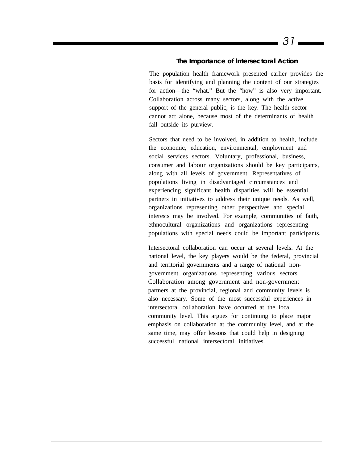# $31$ *The Importance of lntersectoral Action*

The population health framework presented earlier provides the basis for identifying and planning the content of our strategies for action—the "what." But the "how" is also very important. Collaboration across many sectors, along with the active support of the general public, is the key. The health sector cannot act alone, because most of the determinants of health fall outside its purview.

Sectors that need to be involved, in addition to health, include the economic, education, environmental, employment and social services sectors. Voluntary, professional, business, consumer and labour organizations should be key participants, along with all levels of government. Representatives of populations living in disadvantaged circumstances and experiencing significant health disparities will be essential partners in initiatives to address their unique needs. As well, organizations representing other perspectives and special interests may be involved. For example, communities of faith, ethnocultural organizations and organizations representing populations with special needs could be important participants.

Intersectoral collaboration can occur at several levels. At the national level, the key players would be the federal, provincial and territorial governments and a range of national nongovernment organizations representing various sectors. Collaboration among government and non-government partners at the provincial, regional and community levels is also necessary. Some of the most successful experiences in intersectoral collaboration have occurred at the local community level. This argues for continuing to place major emphasis on collaboration at the community level, and at the same time, may offer lessons that could help in designing successful national intersectoral initiatives.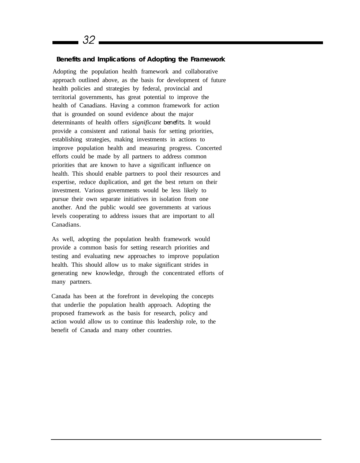# $\frac{32}{2}$

# *Benefits and Implications of Adopting the Framework*

Adopting the population health framework and collaborative approach outlined above, as the basis for development of future health policies and strategies by federal, provincial and territorial governments, has great potential to improve the health of Canadians. Having a common framework for action that is grounded on sound evidence about the major determinants of health offers *significant benefits.* It would provide a consistent and rational basis for setting priorities, establishing strategies, making investments in actions to improve population health and measuring progress. Concerted efforts could be made by all partners to address common priorities that are known to have a significant influence on health. This should enable partners to pool their resources and expertise, reduce duplication, and get the best return on their investment. Various governments would be less likely to pursue their own separate initiatives in isolation from one another. And the public would see governments at various levels cooperating to address issues that are important to all Canadians.

As well, adopting the population health framework would provide a common basis for setting research priorities and testing and evaluating new approaches to improve population health. This should allow us to make significant strides in generating new knowledge, through the concentrated efforts of many partners.

Canada has been at the forefront in developing the concepts that underlie the population health approach. Adopting the proposed framework as the basis for research, policy and action would allow us to continue this leadership role, to the benefit of Canada and many other countries.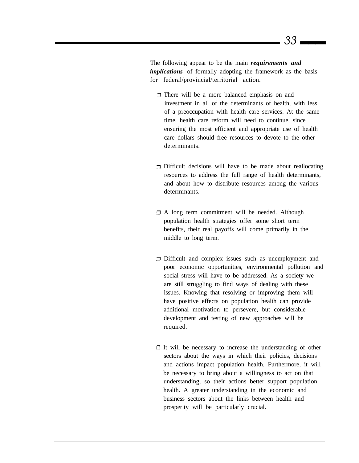The following appear to be the main *requirements and implications* of formally adopting the framework as the basis for federal/provincial/territorial action.

 $33$   $\overline{\phantom{1}}$ 

- $\Box$  There will be a more balanced emphasis on and investment in all of the determinants of health, with less of a preoccupation with health care services. At the same time, health care reform will need to continue, since ensuring the most efficient and appropriate use of health care dollars should free resources to devote to the other determinants.
- Difficult decisions will have to be made about reallocating resources to address the full range of health determinants, and about how to distribute resources among the various determinants.
- $\Box$  A long term commitment will be needed. Although population health strategies offer some short term benefits, their real payoffs will come primarily in the middle to long term.
- Difficult and complex issues such as unemployment and poor economic opportunities, environmental pollution and social stress will have to be addressed. As a society we are still struggling to find ways of dealing with these issues. Knowing that resolving or improving them will have positive effects on population health can provide additional motivation to persevere, but considerable development and testing of new approaches will be required.
- $\Box$  It will be necessary to increase the understanding of other sectors about the ways in which their policies, decisions and actions impact population health. Furthermore, it will be necessary to bring about a willingness to act on that understanding, so their actions better support population health. A greater understanding in the economic and business sectors about the links between health and prosperity will be particularly crucial.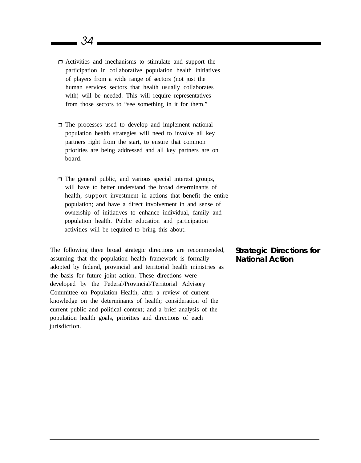

- $\Box$  Activities and mechanisms to stimulate and support the participation in collaborative population health initiatives of players from a wide range of sectors (not just the human services sectors that health usually collaborates with) will be needed. This will require representatives from those sectors to "see something in it for them."
- $\Box$  The processes used to develop and implement national population health strategies will need to involve all key partners right from the start, to ensure that common priorities are being addressed and all key partners are on board.
- $\Box$  The general public, and various special interest groups, will have to better understand the broad determinants of health; support investment in actions that benefit the entire population; and have a direct involvement in and sense of ownership of initiatives to enhance individual, family and population health. Public education and participation activities will be required to bring this about.

The following three broad strategic directions are recommended, **Strategic Directions for** assuming that the population health framework is formally **National Action** adopted by federal, provincial and territorial health ministries as the basis for future joint action. These directions were developed by the Federal/Provincial/Territorial Advisory Committee on Population Health, after a review of current knowledge on the determinants of health; consideration of the current public and political context; and a brief analysis of the population health goals, priorities and directions of each jurisdiction.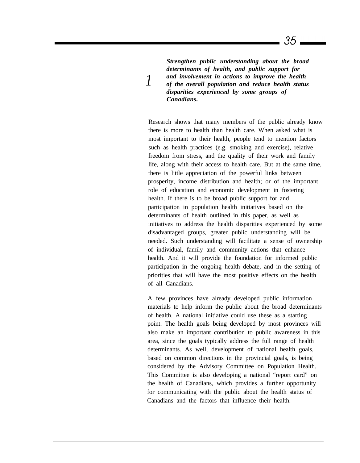*Strengthen public understanding about the broad determinants of health, and public support for and involvement in actions to improve the health of the overall population and reduce health status disparities experienced by some groups of Canadians.*

 $35 -$ 

*1*

Research shows that many members of the public already know there is more to health than health care. When asked what is most important to their health, people tend to mention factors such as health practices (e.g. smoking and exercise), relative freedom from stress, and the quality of their work and family life, along with their access to health care. But at the same time, there is little appreciation of the powerful links between prosperity, income distribution and health; or of the important role of education and economic development in fostering health. If there is to be broad public support for and participation in population health initiatives based on the determinants of health outlined in this paper, as well as initiatives to address the health disparities experienced by some disadvantaged groups, greater public understanding will be needed. Such understanding will facilitate a sense of ownership of individual, family and community actions that enhance health. And it will provide the foundation for informed public participation in the ongoing health debate, and in the setting of priorities that will have the most positive effects on the health of all Canadians.

A few provinces have already developed public information materials to help inform the public about the broad determinants of health. A national initiative could use these as a starting point. The health goals being developed by most provinces will also make an important contribution to public awareness in this area, since the goals typically address the full range of health determinants. As well, development of national health goals, based on common directions in the provincial goals, is being considered by the Advisory Committee on Population Health. This Committee is also developing a national "report card" on the health of Canadians, which provides a further opportunity for communicating with the public about the health status of Canadians and the factors that influence their health.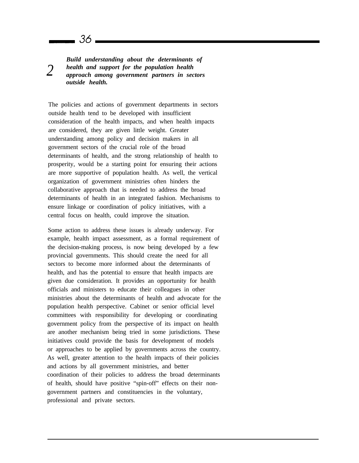

# *Build understanding about the determinants of 2 health and support for the population health approach among government partners in sectors outside health.*

The policies and actions of government departments in sectors outside health tend to be developed with insufficient consideration of the health impacts, and when health impacts are considered, they are given little weight. Greater understanding among policy and decision makers in all government sectors of the crucial role of the broad determinants of health, and the strong relationship of health to prosperity, would be a starting point for ensuring their actions are more supportive of population health. As well, the vertical organization of government ministries often hinders the collaborative approach that is needed to address the broad determinants of health in an integrated fashion. Mechanisms to ensure linkage or coordination of policy initiatives, with a central focus on health, could improve the situation.

Some action to address these issues is already underway. For example, health impact assessment, as a formal requirement of the decision-making process, is now being developed by a few provincial governments. This should create the need for all sectors to become more informed about the determinants of health, and has the potential to ensure that health impacts are given due consideration. It provides an opportunity for health officials and ministers to educate their colleagues in other ministries about the determinants of health and advocate for the population health perspective. Cabinet or senior official level committees with responsibility for developing or coordinating government policy from the perspective of its impact on health are another mechanism being tried in some jurisdictions. These initiatives could provide the basis for development of models or approaches to be applied by governments across the country. As well, greater attention to the health impacts of their policies and actions by all government ministries, and better coordination of their policies to address the broad determinants of health, should have positive "spin-off" effects on their nongovernment partners and constituencies in the voluntary, professional and private sectors.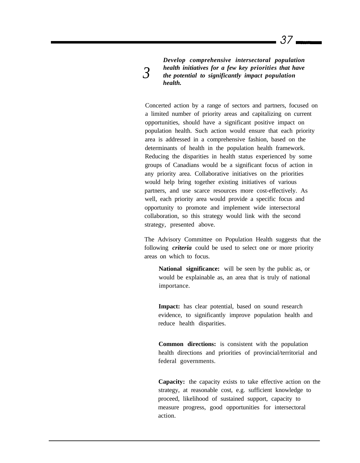*Develop comprehensive intersectoral population 3 health initiatives for a few key priorities that have the potential to significantly impact population health.*

 $37 -$ 

Concerted action by a range of sectors and partners, focused on a limited number of priority areas and capitalizing on current opportunities, should have a significant positive impact on population health. Such action would ensure that each priority area is addressed in a comprehensive fashion, based on the determinants of health in the population health framework. Reducing the disparities in health status experienced by some groups of Canadians would be a significant focus of action in any priority area. Collaborative initiatives on the priorities would help bring together existing initiatives of various partners, and use scarce resources more cost-effectively. As well, each priority area would provide a specific focus and opportunity to promote and implement wide intersectoral collaboration, so this strategy would link with the second strategy, presented above.

The Advisory Committee on Population Health suggests that the following *criteria* could be used to select one or more priority areas on which to focus.

**National significance:** will be seen by the public as, or would be explainable as, an area that is truly of national importance.

Impact: has clear potential, based on sound research evidence, to significantly improve population health and reduce health disparities.

**Common directions:** is consistent with the population health directions and priorities of provincial/territorial and federal governments.

**Capacity:** the capacity exists to take effective action on the strategy, at reasonable cost, e.g. sufficient knowledge to proceed, likelihood of sustained support, capacity to measure progress, good opportunities for intersectoral action.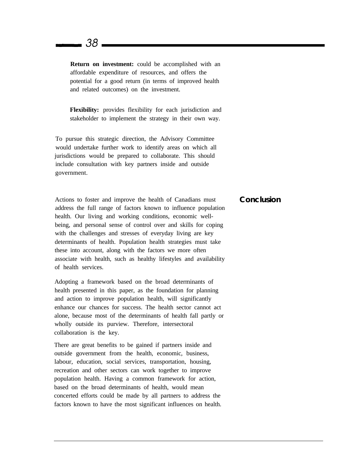$-38$ **Return on investment:** could be accomplished with an affordable expenditure of resources, and offers the potential for a good return (in terms of improved health and related outcomes) on the investment.

**Flexibility:** provides flexibility for each jurisdiction and stakeholder to implement the strategy in their own way.

To pursue this strategic direction, the Advisory Committee would undertake further work to identify areas on which all jurisdictions would be prepared to collaborate. This should include consultation with key partners inside and outside government.

Actions to foster and improve the health of Canadians must address the full range of factors known to influence population health. Our living and working conditions, economic wellbeing, and personal sense of control over and skills for coping with the challenges and stresses of everyday living are key determinants of health. Population health strategies must take these into account, along with the factors we more often associate with health, such as healthy lifestyles and availability of health services.

Adopting a framework based on the broad determinants of health presented in this paper, as the foundation for planning and action to improve population health, will significantly enhance our chances for success. The health sector cannot act alone, because most of the determinants of health fall partly or wholly outside its purview. Therefore, intersectoral collaboration is the key.

There are great benefits to be gained if partners inside and outside government from the health, economic, business, labour, education, social services, transportation, housing, recreation and other sectors can work together to improve population health. Having a common framework for action, based on the broad determinants of health, would mean concerted efforts could be made by all partners to address the factors known to have the most significant influences on health.

# **Conclusion**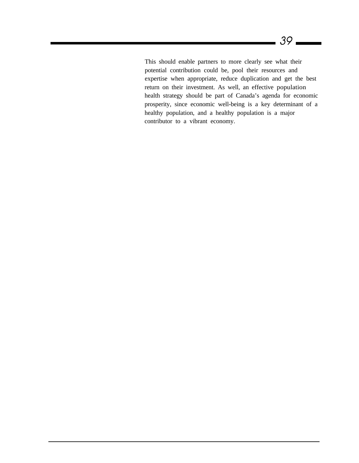This should enable partners to more clearly see what their potential contribution could be, pool their resources and expertise when appropriate, reduce duplication and get the best return on their investment. As well, an effective population health strategy should be part of Canada's agenda for economic prosperity, since economic well-being is a key determinant of a healthy population, and a healthy population is a major contributor to a vibrant economy.

 $39 -$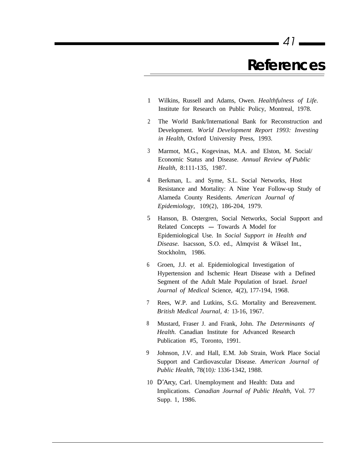$41$   $-$ 

# **References**

- 1 Wilkins, Russell and Adams, Owen. *Healthfulness of Life.* Institute for Research on Public Policy, Montreal, 1978.
- 2 The World Bank/International Bank for Reconstruction and Development. *World Development Report 1993: Investing in Health,* Oxford University Press, 1993.
- 3 Marmot, M.G., Kogevinas, M.A. and Elston, M. Social/ Economic Status and Disease. *Annual Review of Public Health,* 8:111-135, 1987.
- 4 Berkman, L. and Syme, S.L. Social Networks, Host Resistance and Mortality: A Nine Year Follow-up Study of Alameda County Residents. *American Journal of Epidemiology,* 109(2), 186-204, 1979.
- 5 Hanson, B. Ostergren, Social Networks, Social Support and Related Concepts Towards A Model for Epidemiological Use. In *Social Support in Health and Disease.* Isacsson, S.O. ed., Almqvist & Wiksel Int., Stockholm, 1986.
- 6 Groen, J.J. et al. Epidemiological Investigation of Hypertension and Ischemic Heart Disease with a Defined Segment of the Adult Male Population of Israel. *Israel Journal of Medical* Science, 4(2), 177-194, 1968.
- 7 Rees, W.P. and Lutkins, S.G. Mortality and Bereavement. *British Medical Journal, 4:* 13-16, 1967.
- 8 Mustard, Fraser J. and Frank, John. *The Determinants of Health.* Canadian Institute for Advanced Research Publication #5, Toronto, 1991.
- 9 Johnson, J.V. and Hall, E.M. Job Strain, Work Place Social Support and Cardiovascular Disease. *American Journal of Public Health,* 78(10*):* 1336-1342, 1988.
- 10 D'Arcy, Carl. Unemployment and Health: Data and Implications. *Canadian Journal of Public Health,* Vol. 77 Supp. 1, 1986.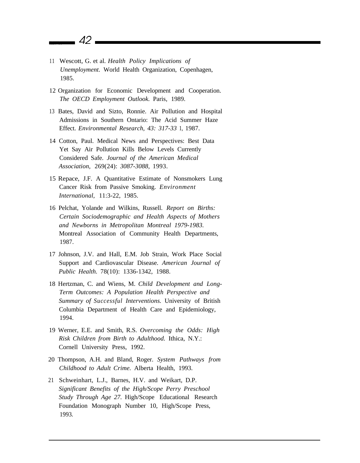

- <sup>11</sup> Wescott, G. et al. *Health Policy Implications of Unemployment.* World Health Organization, Copenhagen, 1985.
- 12 Organization for Economic Development and Cooperation. *The OECD Employment Outlook.* Paris, 1989.
- 13 Bates, David and Sizto, Ronnie. Air Pollution and Hospital Admissions in Southern Ontario: The Acid Summer Haze Effect. *Environmental Research, 43: 317-33* 1, 1987.
- 14 Cotton, Paul. Medical News and Perspectives: Best Data Yet Say Air Pollution Kills Below Levels Currently Considered Safe. *Journal of the American Medical Association,* 269(24): *3087-3088,* 1993.
- 15 Repace, J.F. A Quantitative Estimate of Nonsmokers Lung Cancer Risk from Passive Smoking. *Environment International,* 11:3-22, 1985.
- 16 Pelchat, Yolande and Wilkins, Russell. *Report on Births: Certain Sociodemographic and Health Aspects of Mothers and Newborns in Metropolitan Montreal 1979-1983.* Montreal Association of Community Health Departments, 1987.
- 17 Johnson, J.V. and Hall, E.M. Job Strain, Work Place Social Support and Cardiovascular Disease. *American Journal of Public Health.* 78(10): 1336-1342, 1988.
- 18 Hertzman, C. and Wiens, M. *Child Development and Long-Term Outcomes: A Population Health Perspective and Summary of Successful Interventions.* University of British Columbia Department of Health Care and Epidemiology, 1994.
- 19 Werner, E.E. and Smith, R.S. *Overcoming the Odds: High Risk Children from Birth to Adulthood.* Ithica, N.Y.: Cornell University Press, 1992.
- 20 Thompson, A.H. and Bland, Roger. *System Pathways from Childhood to Adult Crime.* Alberta Health, 1993.
- 21 Schweinhart, L.J., Barnes, H.V. and Weikart, D.P. *Significant Benefits of the High/Scope Perry Preschool Study Through Age 27.* High/Scope Educational Research Foundation Monograph Number 10, High/Scope Press, 1993.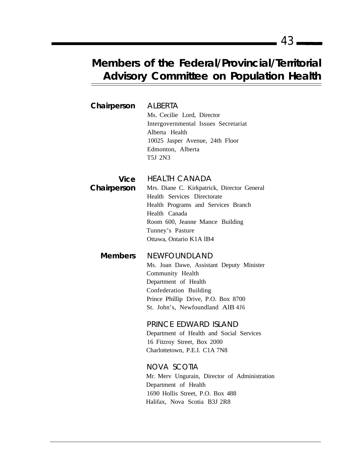# **Members of the Federal/Provincial/Territorial Advisory Committee on Population Health**

**Chairperson ALBERTA** Ms. Cecilie Lord, Director Intergovernmental Issues Secretariat Alberta Health 10025 Jasper Avenue, 24th Floor Edmonton, Alberta T5J 2N3

### **Vice** HEALTH CANADA

| Chairperson | Mrs. Diane C. Kirkpatrick, Director General |
|-------------|---------------------------------------------|
|             | Health Services Directorate                 |
|             | Health Programs and Services Branch         |
|             | Health Canada                               |
|             | Room 600, Jeanne Mance Building             |
|             | Tunney's Pasture                            |
|             | Ottawa, Ontario K1A 1B4                     |
|             |                                             |

### **Members** NEWFOUNDLAND

Ms. Joan Dawe, Assistant Deputy Minister Community Health Department of Health Confederation Building Prince Phillip Drive, P.O. Box 8700 St. John's, Newfoundland AlB 4J6

# PRINCE EDWARD ISLAND

Department of Health and Social Services 16 Fitzroy Street, Box 2000 Charlottetown, P.E.I. C1A 7N8

# NOVA SCOTIA

Mr. Merv Ungurain, Director of Administration Department of Health 1690 Hollis Street, P.O. Box 488 Halifax, Nova Scotia B3J 2R8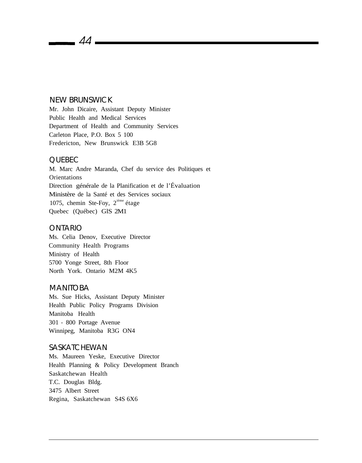# NEW BRUNSWICK

 $-44$ 

Mr. John Dicaire, Assistant Deputy Minister Public Health and Medical Services Department of Health and Community Services Carleton Place, P.O. Box 5 100 Fredericton, New Brunswick E3B 5G8

# QUEBEC

M. Marc Andre Maranda, Chef du service des Politiques et **Orientations** Direction générale de la Planification et de l'Évaluation Ministère de la Santé et des Services sociaux 1075, chemin Ste-Foy, 2 ième étage Quebec (Québec) GlS 2M1

# ONTARIO

Ms. Celia Denov, Executive Director Community Health Programs Ministry of Health 5700 Yonge Street, 8th Floor North York. Ontario M2M 4K5

# MANITOBA

Ms. Sue Hicks, Assistant Deputy Minister Health Public Policy Programs Division Manitoba Health 301 - 800 Portage Avenue Winnipeg, Manitoba R3G ON4

# SASKATCHEWAN

Ms. Maureen Yeske, Executive Director Health Planning & Policy Development Branch Saskatchewan Health T.C. Douglas Bldg. 3475 Albert Street Regina, Saskatchewan S4S 6X6